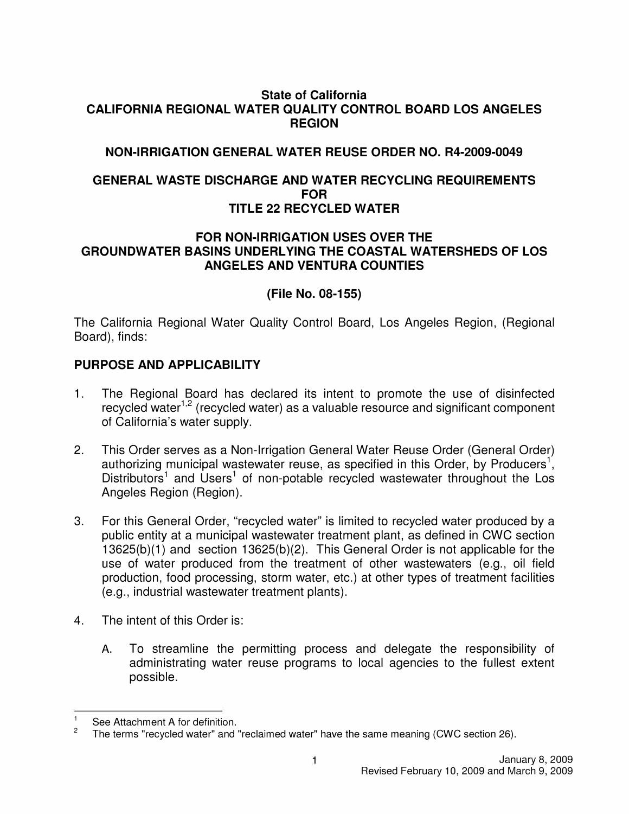#### **State of California CALIFORNIA REGIONAL WATER QUALITY CONTROL BOARD LOS ANGELES REGION**

### **NON-IRRIGATION GENERAL WATER REUSE ORDER NO. R4-2009-0049**

#### **GENERAL WASTE DISCHARGE AND WATER RECYCLING REQUIREMENTS FOR TITLE 22 RECYCLED WATER**

#### **FOR NON-IRRIGATION USES OVER THE GROUNDWATER BASINS UNDERLYING THE COASTAL WATERSHEDS OF LOS ANGELES AND VENTURA COUNTIES**

### **(File No. 08-155)**

The California Regional Water Quality Control Board, Los Angeles Region, (Regional Board), finds:

### **PURPOSE AND APPLICABILITY**

- 1. The Regional Board has declared its intent to promote the use of disinfected recycled water $1,2$  (recycled water) as a valuable resource and significant component of California's water supply.
- 2. This Order serves as a Non-Irrigation General Water Reuse Order (General Order) authorizing municipal wastewater reuse, as specified in this Order, by Producers<sup>1</sup>, Distributors<sup>1</sup> and Users<sup>1</sup> of non-potable recycled wastewater throughout the Los Angeles Region (Region).
- 3. For this General Order, "recycled water" is limited to recycled water produced by a public entity at a municipal wastewater treatment plant, as defined in CWC section 13625(b)(1) and section 13625(b)(2). This General Order is not applicable for the use of water produced from the treatment of other wastewaters (e.g., oil field production, food processing, storm water, etc.) at other types of treatment facilities (e.g., industrial wastewater treatment plants).
- 4. The intent of this Order is:
	- A. To streamline the permitting process and delegate the responsibility of administrating water reuse programs to local agencies to the fullest extent possible.

 $\frac{1}{2}$  See Attachment A for definition.

<sup>2</sup>The terms "recycled water" and "reclaimed water" have the same meaning (CWC section 26).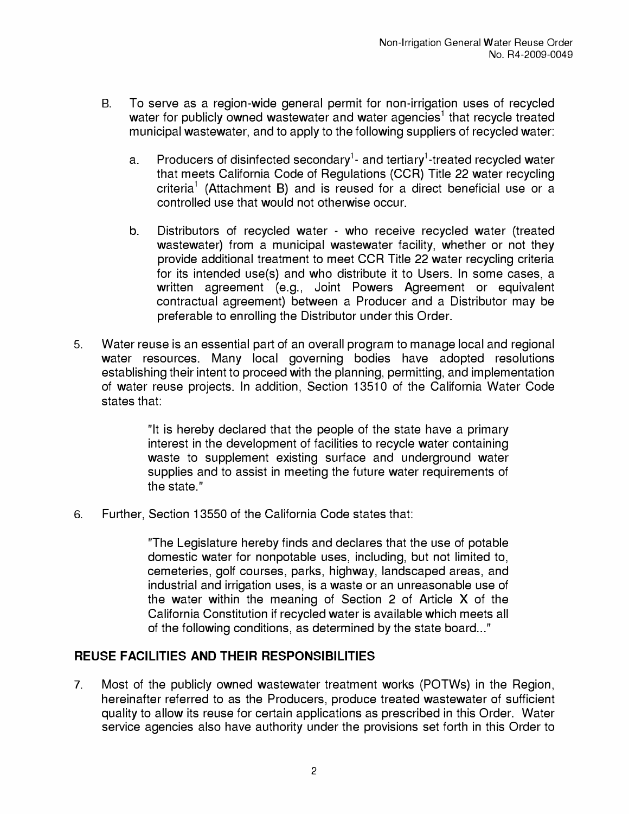- B. To serve as a region-wide general permit for non-irrigation uses of recycled water for publicly owned wastewater and water agencies<sup>1</sup> that recycle treated municipal wastewater, and to apply to the following suppliers of recycled water:
	- a. Producers of disinfected secondary<sup>1</sup>- and tertiary<sup>1</sup>-treated recycled water that meets California Code of Regulations (CCR) Title 22 water recycling criteria<sup>1</sup> (Attachment B) and is reused for a direct beneficial use or a controlled use that would not otherwise occur.
	- b. Distributors of recycled water who receive recycled water (treated wastewater) from a municipal wastewater facility, whether or not they provide additional treatment to meet CCR Title 22 water recycling criteria for its intended use(s) and who distribute it to Users. In some cases, a written agreement (e.g., Joint Powers Agreement or equivalent contractual agreement) between a Producer and a Distributor may be preferable to enrolling the Distributor under this Order.
- 5. Water reuse is an essential part of an overall program to manage local and regional water resources. Many local governing bodies have adopted resolutions establishing their intent to proceed with the planning, permitting, and implementation of water reuse projects. In addition, Section 13510 of the California Water Code states that:

"It is hereby declared that the people of the state have a primary interest in the development of facilities to recycle water containing waste to supplement existing surface and underground water supplies and to assist in meeting the future water requirements of the state."

6. Further, Section 13550 of the California Code states that:

"The Legislature hereby finds and declares that the use of potable domestic water for nonpotable uses, including, but not limited to, cemeteries, golf courses, parks, highway, landscaped areas, and industrial and irrigation uses, is a waste or an unreasonable use of the water within the meaning of Section 2 of Article X of the California Constitution if recycled water is available which meets all of the following conditions, as determined by the state board..."

## **REUSE FACILITIES AND THEIR RESPONSIBILITIES**

7. Most of the publicly owned wastewater treatment works (POTWs) in the Region, hereinafter referred to as the Producers, produce treated wastewater of sufficient quality to allow its reuse for certain applications as prescribed in this Order. Water service agencies also have authority under the provisions set forth in this Order to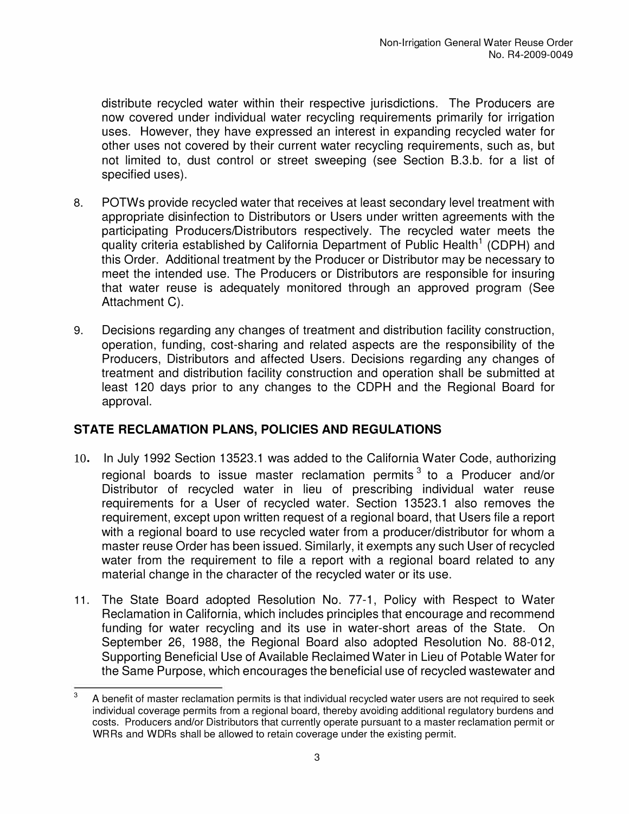distribute recycled water within their respective jurisdictions. The Producers are now covered under individual water recycling requirements primarily for irrigation uses. However, they have expressed an interest in expanding recycled water for other uses not covered by their current water recycling requirements, such as, but not limited to, dust control or street sweeping (see Section B.3.b. for a list of specified uses).

- 8. POTWs provide recycled water that receives at least secondary level treatment with appropriate disinfection to Distributors or Users under written agreements with the participating Producers/Distributors respectively. The recycled water meets the quality criteria established by California Department of Public Health<sup>1</sup> (CDPH) and this Order. Additional treatment by the Producer or Distributor may be necessary to meet the intended use. The Producers or Distributors are responsible for insuring that water reuse is adequately monitored through an approved program (See Attachment C).
- 9. Decisions regarding any changes of treatment and distribution facility construction, operation, funding, cost-sharing and related aspects are the responsibility of the Producers, Distributors and affected Users. Decisions regarding any changes of treatment and distribution facility construction and operation shall be submitted at least 120 days prior to any changes to the CDPH and the Regional Board for approval.

## **STATE RECLAMATION PLANS, POLICIES AND REGULATIONS**

- 10. In July 1992 Section 13523.1 was added to the California Water Code, authorizing regional boards to issue master reclamation permits  $3$  to a Producer and/or Distributor of recycled water in lieu of prescribing individual water reuse requirements for a User of recycled water. Section 13523.1 also removes the requirement, except upon written request of a regional board, that Users file a report with a regional board to use recycled water from a producer/distributor for whom a master reuse Order has been issued. Similarly, it exempts any such User of recycled water from the requirement to file a report with a regional board related to any material change in the character of the recycled water or its use.
- 11. The State Board adopted Resolution No. 77-1, Policy with Respect to Water Reclamation in California, which includes principles that encourage and recommend funding for water recycling and its use in water-short areas of the State. On September 26, 1988, the Regional Board also adopted Resolution No. 88-012, Supporting Beneficial Use of Available Reclaimed Water in Lieu of Potable Water for the Same Purpose, which encourages the beneficial use of recycled wastewater and

 $3$  A benefit of master reclamation permits is that individual recycled water users are not required to seek individual coverage permits from a regional board, thereby avoiding additional regulatory burdens and costs. Producers and/or Distributors that currently operate pursuant to a master reclamation permit or WRRs and WDRs shall be allowed to retain coverage under the existing permit.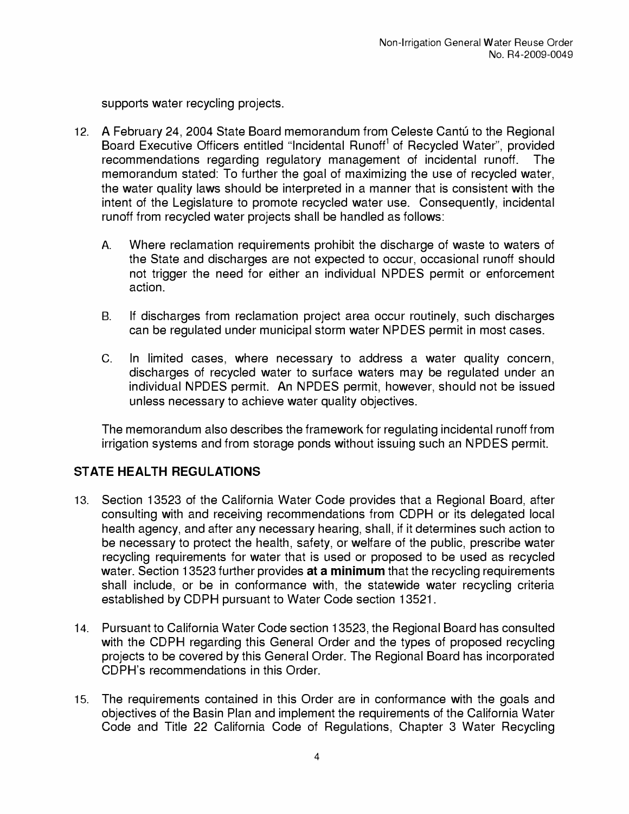supports water recycling projects.

- 12. A February 24, 2004 State Board memorandum from Celeste Cantú to the Regional Board Executive Officers entitled "Incidental Runoff<sup>1</sup> of Recycled Water", provided recommendations regarding regulatory management of incidental runoff. The memorandum stated: To further the goal of maximizing the use of recycled water, the water quality laws should be interpreted in a manner that is consistent with the intent of the Legislature to promote recycled water use. Consequently, incidental runoff from recycled water projects shall be handled as follows:
	- A. Where reclamation requirements prohibit the discharge of waste to waters of the State and discharges are not expected to occur, occasional runoff should not trigger the need for either an individual NPDES permit or enforcement action.
	- B. If discharges from reclamation project area occur routinely, such discharges can be regulated under municipal storm water NPDES permit in most cases.
	- C. In limited cases, where necessary to address a water quality concern, discharges of recycled water to surface waters may be regulated under an individual NPDES permit. An NPDES permit, however, should not be issued unless necessary to achieve water quality objectives.

The memorandum also describes the framework for regulating incidental runoff from irrigation systems and from storage ponds without issuing such an NPDES permit.

## **STATE HEALTH REGULATIONS**

- 13. Section 13523 of the California Water Code provides that a Regional Board, after consulting with and receiving recommendations from CDPH or its delegated local health agency, and after any necessary hearing, shall, if it determines such action to be necessary to protect the health, safety, or welfare of the public, prescribe water recycling requirements for water that is used or proposed to be used as recycled water. Section 13523 further provides **at a minimum** that the recycling requirements shall include, or be in conformance with, the statewide water recycling criteria established by CDPH pursuant to Water Code section 13521.
- 14. Pursuant to California Water Code section 13523, the Regional Board has consulted with the CDPH regarding this General Order and the types of proposed recycling projects to be covered by this General Order. The Regional Board has incorporated CDPH's recommendations in this Order.
- 15. The requirements contained in this Order are in conformance with the goals and objectives of the Basin Plan and implement the requirements of the California Water Code and Title 22 California Code of Regulations, Chapter 3 Water Recycling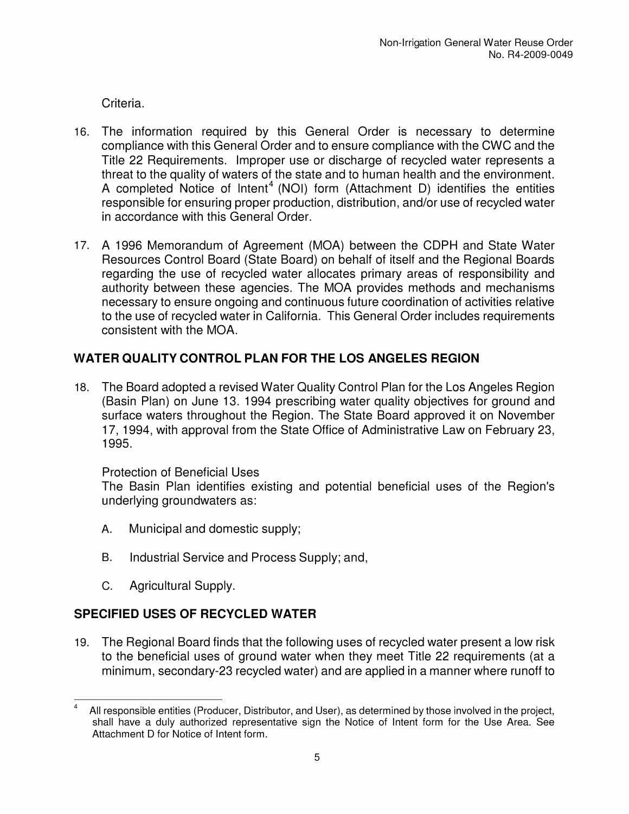Criteria.

- 16. The information required by this General Order is necessary to determine compliance with this General Order and to ensure compliance with the CWC and the Title 22 Requirements. Improper use or discharge of recycled water represents a threat to the quality of waters of the state and to human health and the environment. A completed Notice of Intent<sup>4</sup> (NOI) form (Attachment D) identifies the entities responsible for ensuring proper production, distribution, and/or use of recycled water in accordance with this General Order.
- 17. A 1996 Memorandum of Agreement (MOA) between the CDPH and State Water Resources Control Board (State Board) on behalf of itself and the Regional Boards regarding the use of recycled water allocates primary areas of responsibility and authority between these agencies. The MOA provides methods and mechanisms necessary to ensure ongoing and continuous future coordination of activities relative to the use of recycled water in California. This General Order includes requirements consistent with the MOA.

## **WATER QUALITY CONTROL PLAN FOR THE LOS ANGELES REGION**

18. The Board adopted a revised Water Quality Control Plan for the Los Angeles Region (Basin Plan) on June 13. 1994 prescribing water quality objectives for ground and surface waters throughout the Region. The State Board approved it on November 17, 1994, with approval from the State Office of Administrative Law on February 23, 1995.

## Protection of Beneficial Uses

The Basin Plan identifies existing and potential beneficial uses of the Region's underlying groundwaters as:

- A. Municipal and domestic supply;
- B. Industrial Service and Process Supply; and,
- C. Agricultural Supply.

# **SPECIFIED USES OF RECYCLED WATER**

19. The Regional Board finds that the following uses of recycled water present a low risk to the beneficial uses of ground water when they meet Title 22 requirements (at a minimum, secondary-23 recycled water) and are applied in a manner where runoff to

<sup>&</sup>lt;sup>4</sup> All responsible entities (Producer, Distributor, and User), as determined by those involved in the project, shall have a duly authorized representative sign the Notice of Intent form for the Use Area. See Attachment D for Notice of Intent form.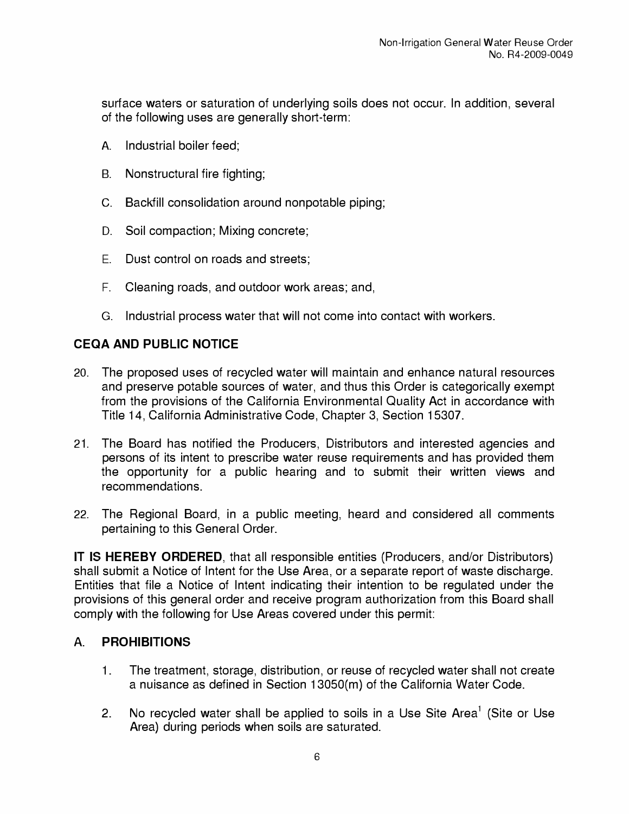surface waters or saturation of underlying soils does not occur. In addition, several of the following uses are generally short-term:

- A. Industrial boiler feed;
- B. Nonstructural fire fighting;
- C. Backfill consolidation around nonpotable piping;
- D. Soil compaction; Mixing concrete;
- E. Dust control on roads and streets;
- F. Cleaning roads, and outdoor work areas; and,
- G. Industrial process water that will not come into contact with workers.

## **CEQA AND PUBLIC NOTICE**

- 20. The proposed uses of recycled water will maintain and enhance natural resources and preserve potable sources of water, and thus this Order is categorically exempt from the provisions of the California Environmental Quality Act in accordance with Title 14, California Administrative Code, Chapter 3, Section 15307.
- 21. The Board has notified the Producers, Distributors and interested agencies and persons of its intent to prescribe water reuse requirements and has provided them the opportunity for a public hearing and to submit their written views and recommendations.
- 22. The Regional Board, in a public meeting, heard and considered all comments pertaining to this General Order.

**IT IS HEREBY ORDERED,** that all responsible entities (Producers, and/or Distributors) shall submit a Notice of Intent for the Use Area, or a separate report of waste discharge. Entities that file a Notice of Intent indicating their intention to be regulated under the provisions of this general order and receive program authorization from this Board shall comply with the following for Use Areas covered under this permit:

## **A. PROHIBITIONS**

- 1. The treatment, storage, distribution, or reuse of recycled water shall not create a nuisance as defined in Section 13050(m) of the California Water Code.
- 2. No recycled water shall be applied to soils in a Use Site Area<sup>1</sup> (Site or Use Area) during periods when soils are saturated.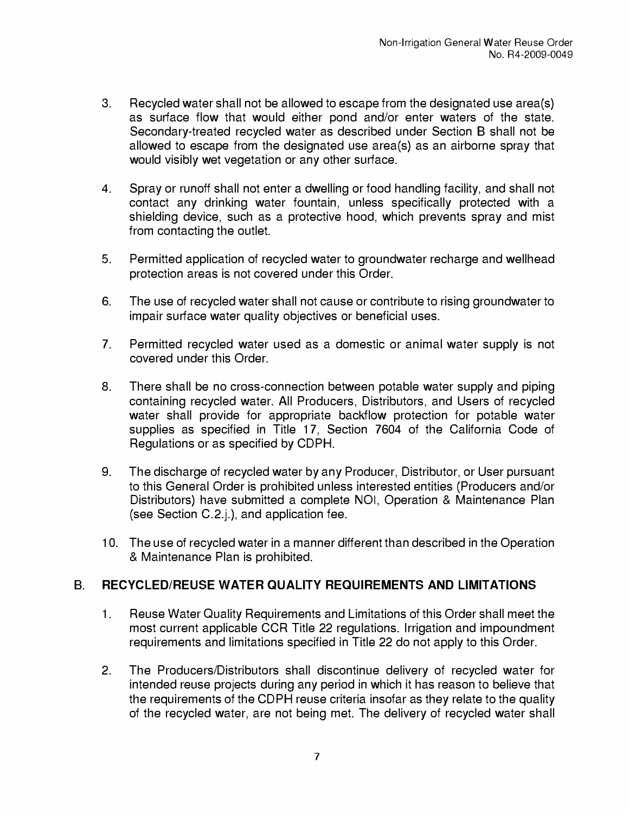- 3. Recycled water shall not be allowed to escape from the designated use area(s) as surface flow that would either pond and/or enter waters of the state. Secondary-treated recycled water as described under Section B shall not be allowed to escape from the designated use area(s) as an airborne spray that would visibly wet vegetation or any other surface.
- 4. Spray or runoff shall not enter a dwelling or food handling facility, and shall not contact any drinking water fountain, unless specifically protected with a shielding device, such as a protective hood, which prevents spray and mist from contacting the outlet.
- 5. Permitted application of recycled water to groundwater recharge and wellhead protection areas is not covered under this Order.
- 6. The use of recycled water shall not cause or contribute to rising groundwater to impair surface water quality objectives or beneficial uses.
- 7. Permitted recycled water used as a domestic or animal water supply is not covered under this Order.
- 8. There shall be no cross-connection between potable water supply and piping containing recycled water. All Producers, Distributors, and Users of recycled water shall provide for appropriate backflow protection for potable water supplies as specified in Title 17, Section 7604 of the California Code of Regulations or as specified by CDPH.
- 9. The discharge of recycled water by any Producer, Distributor, or User pursuant to this General Order is prohibited unless interested entities (Producers and/or Distributors) have submitted a complete NOI, Operation & Maintenance Plan (see Section C.2.j.), and application fee.
- 10. The use of recycled water in a manner different than described in the Operation & Maintenance Plan is prohibited.

### **B. RECYCLED/REUSE WATER QUALITY REQUIREMENTS AND LIMITATIONS**

- 1. Reuse Water Quality Requirements and Limitations of this Order shall meet the most current applicable CCR Title 22 regulations. Irrigation and impoundment requirements and limitations specified in Title 22 do not apply to this Order.
- 2. The Producers/Distributors shall discontinue delivery of recycled water for intended reuse projects during any period in which it has reason to believe that the requirements of the CDPH reuse criteria insofar as they relate to the quality of the recycled water, are not being met. The delivery of recycled water shall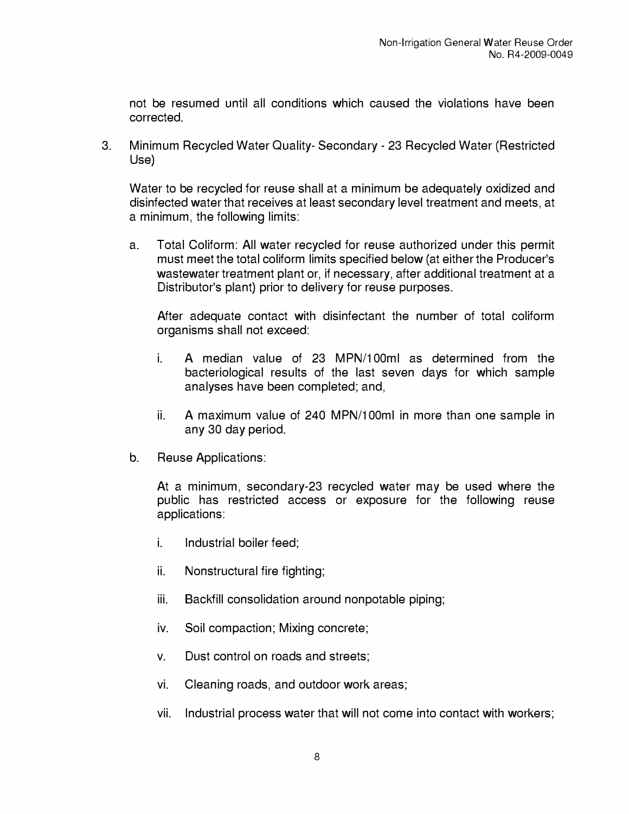not be resumed until all conditions which caused the violations have been corrected.

3. Minimum Recycled Water Quality- Secondary - 23 Recycled Water (Restricted Use)

Water to be recycled for reuse shall at a minimum be adequately oxidized and disinfected water that receives at least secondary level treatment and meets, at a minimum, the following limits:

a. Total Coliform: All water recycled for reuse authorized under this permit must meet the total coliform limits specified below (at either the Producer's wastewater treatment plant or, if necessary, after additional treatment at a Distributor's plant) prior to delivery for reuse purposes.

After adequate contact with disinfectant the number of total coliform organisms shall not exceed:

- i. A median value of 23 MPN/100ml as determined from the bacteriological results of the last seven days for which sample analyses have been completed; and,
- ii. A maximum value of 240 MPN/100ml in more than one sample in any 30 day period.
- b. Reuse Applications:

At a minimum, secondary-23 recycled water may be used where the public has restricted access or exposure for the following reuse applications:

- i. Industrial boiler feed;
- ii. Nonstructural fire fighting;
- iii. Backfill consolidation around nonpotable piping;
- iv. Soil compaction; Mixing concrete;
- v. Dust control on roads and streets;
- vi. Cleaning roads, and outdoor work areas;
- vii. Industrial process water that will not come into contact with workers;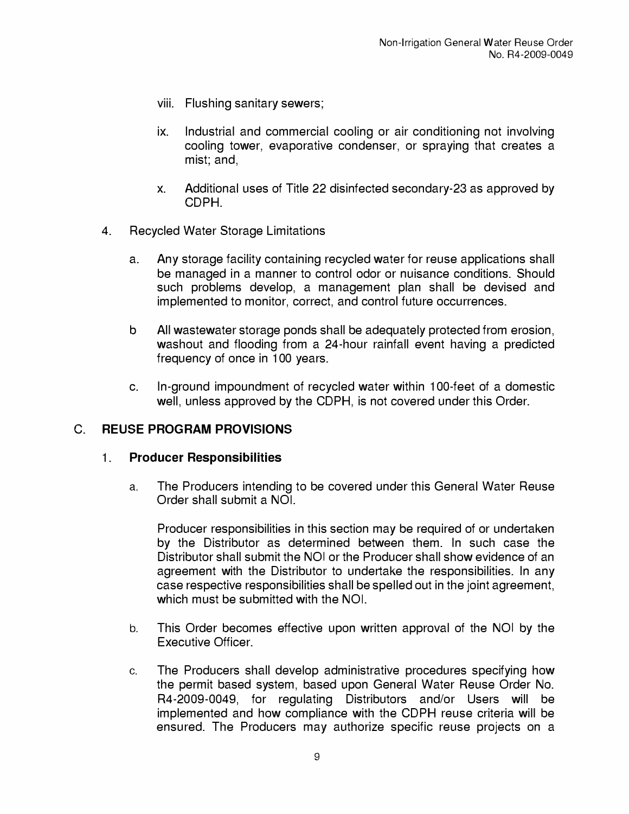- viii. Flushing sanitary sewers;
- ix. Industrial and commercial cooling or air conditioning not involving cooling tower, evaporative condenser, or spraying that creates a mist; and,
- x. Additional uses of Title 22 disinfected secondary-23 as approved by CDPH.
- 4. Recycled Water Storage Limitations
	- a. Any storage facility containing recycled water for reuse applications shall be managed in a manner to control odor or nuisance conditions. Should such problems develop, a management plan shall be devised and implemented to monitor, correct, and control future occurrences.
	- b All wastewater storage ponds shall be adequately protected from erosion, washout and flooding from a 24-hour rainfall event having a predicted frequency of once in 100 years.
	- c. In-ground impoundment of recycled water within 100-feet of a domestic well, unless approved by the CDPH, is not covered under this Order.

### **C. REUSE PROGRAM PROVISIONS**

### **1. Producer Responsibilities**

a. The Producers intending to be covered under this General Water Reuse Order shall submit a NOI.

Producer responsibilities in this section may be required of or undertaken by the Distributor as determined between them. In such case the Distributor shall submit the NOI or the Producer shall show evidence of an agreement with the Distributor to undertake the responsibilities. In any case respective responsibilities shall be spelled out in the joint agreement, which must be submitted with the NOI.

- b. This Order becomes effective upon written approval of the NOI by the Executive Officer.
- c. The Producers shall develop administrative procedures specifying how the permit based system, based upon General Water Reuse Order No. R4-2009-0049, for regulating Distributors and/or Users will be implemented and how compliance with the CDPH reuse criteria will be ensured. The Producers may authorize specific reuse projects on a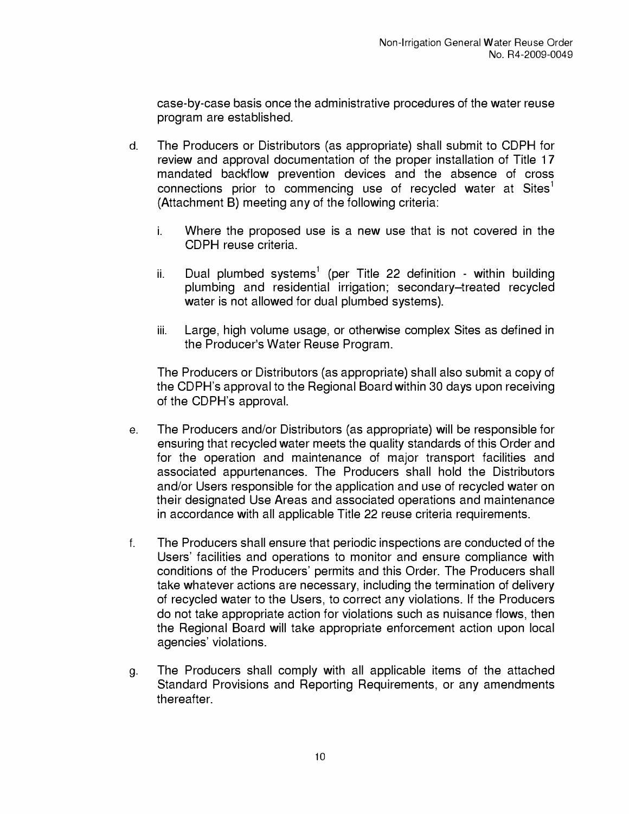case-by-case basis once the administrative procedures of the water reuse program are established.

- d. The Producers or Distributors (as appropriate) shall submit to CDPH for review and approval documentation of the proper installation of Title 17 mandated backflow prevention devices and the absence of cross connections prior to commencing use of recycled water at  $Sites<sup>1</sup>$ (Attachment B) meeting any of the following criteria:
	- i. Where the proposed use is a new use that is not covered in the CDPH reuse criteria.
	- ii. Dual plumbed systems<sup>1</sup> (per Title 22 definition within building plumbing and residential irrigation; secondary-treated recycled water is not allowed for dual plumbed systems).
	- iii. Large, high volume usage, or otherwise complex Sites as defined in the Producer's Water Reuse Program.

The Producers or Distributors (as appropriate) shall also submit a copy of the CDPH's approval to the Regional Board within 30 days upon receiving of the CDPH's approval.

- e. The Producers and/or Distributors (as appropriate) will be responsible for ensuring that recycled water meets the quality standards of this Order and for the operation and maintenance of major transport facilities and associated appurtenances. The Producers shall hold the Distributors and/or Users responsible for the application and use of recycled water on their designated Use Areas and associated operations and maintenance in accordance with all applicable Title 22 reuse criteria requirements.
- f. The Producers shall ensure that periodic inspections are conducted of the Users' facilities and operations to monitor and ensure compliance with conditions of the Producers' permits and this Order. The Producers shall take whatever actions are necessary, including the termination of delivery of recycled water to the Users, to correct any violations. If the Producers do not take appropriate action for violations such as nuisance flows, then the Regional Board will take appropriate enforcement action upon local agencies' violations.
- g. The Producers shall comply with all applicable items of the attached Standard Provisions and Reporting Requirements, or any amendments thereafter.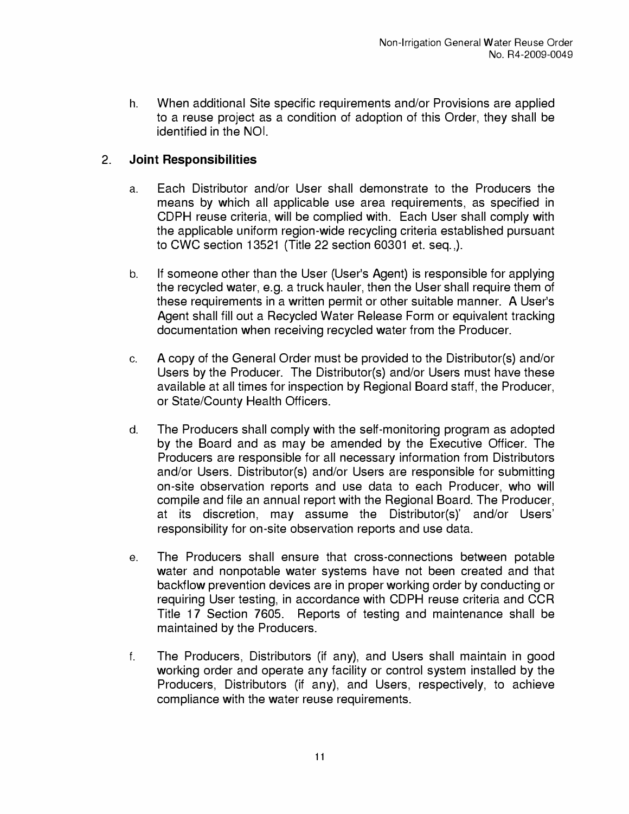h. When additional Site specific requirements and/or Provisions are applied to a reuse project as a condition of adoption of this Order, they shall be identified in the NOI.

## **2. Joint Responsibilities**

- a. Each Distributor and/or User shall demonstrate to the Producers the means by which all applicable use area requirements, as specified in CDPH reuse criteria, will be complied with. Each User shall comply with the applicable uniform region-wide recycling criteria established pursuant to CWC section 13521 {Title 22 section 60301 et. seq.,).
- b. If someone other than the User {User's Agent) is responsible for applying the recycled water, e.g. a truck hauler, then the User shall require them of these requirements in a written permit or other suitable manner. A User's Agent shall fill out a Recycled Water Release Form or equivalent tracking documentation when receiving recycled water from the Producer.
- c. A copy of the General Order must be provided to the Distributor{s) and/or Users by the Producer. The Distributor{s) and/or Users must have these available at all times for inspection by Regional Board staff, the Producer, or State/County Health Officers.
- d. The Producers shall comply with the self-monitoring program as adopted by the Board and as may be amended by the Executive Officer. The Producers are responsible for all necessary information from Distributors and/or Users. Distributor{s) and/or Users are responsible for submitting on-site observation reports and use data to each Producer, who will compile and file an annual report with the Regional Board. The Producer, at its discretion, may assume the Distributor{s)' and/or Users' responsibility for on-site observation reports and use data.
- e. The Producers shall ensure that cross-connections between potable water and nonpotable water systems have not been created and that backflow prevention devices are in proper working order by conducting or requiring User testing, in accordance with CDPH reuse criteria and CCR Title 17 Section 7605. Reports of testing and maintenance shall be maintained by the Producers.
- f. The Producers, Distributors {if any), and Users shall maintain in good working order and operate any facility or control system installed by the Producers, Distributors {if any), and Users, respectively, to achieve compliance with the water reuse requirements.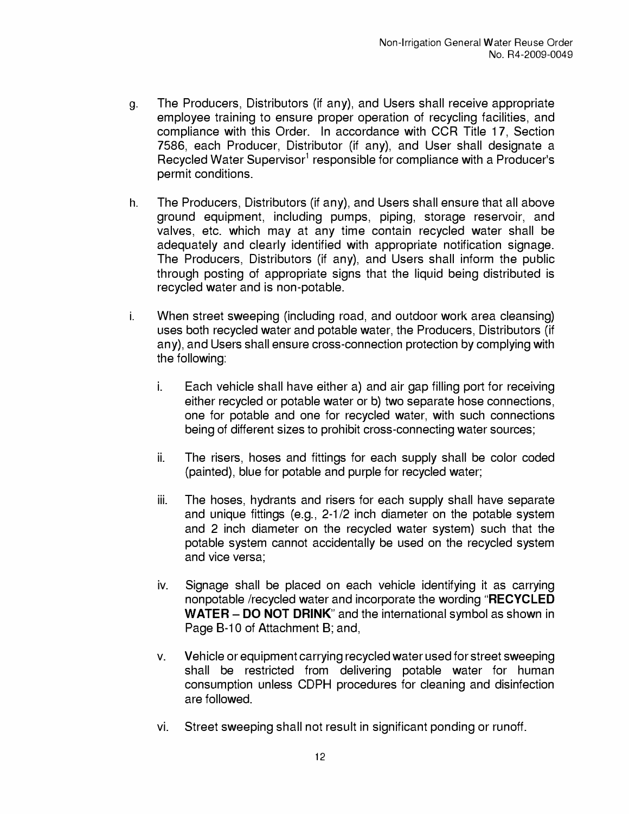- g. The Producers, Distributors (if any), and Users shall receive appropriate employee training to ensure proper operation of recycling facilities, and compliance with this Order. In accordance with CCR Title 17, Section 7586, each Producer, Distributor (if any), and User shall designate a Recycled Water Supervisor<sup>1</sup> responsible for compliance with a Producer's permit conditions.
- h. The Producers, Distributors (if any), and Users shall ensure that all above ground equipment, including pumps, piping, storage reservoir, and valves, etc. which may at any time contain recycled water shall be adequately and clearly identified with appropriate notification signage. The Producers, Distributors (if any), and Users shall inform the public through posting of appropriate signs that the liquid being distributed is recycled water and is non-potable.
- i. When street sweeping (including road, and outdoor work area cleansing) uses both recycled water and potable water, the Producers, Distributors (if any), and Users shall ensure cross-connection protection by complying with the following:
	- i. Each vehicle shall have either a) and air gap filling port for receiving either recycled or potable water or b) two separate hose connections, one for potable and one for recycled water, with such connections being of different sizes to prohibit cross-connecting water sources;
	- ii. The risers, hoses and fittings for each supply shall be color coded (painted), blue for potable and purple for recycled water;
	- iii. The hoses, hydrants and risers for each supply shall have separate and unique fittings (e.g., 2-1/2 inch diameter on the potable system and 2 inch diameter on the recycled water system) such that the potable system cannot accidentally be used on the recycled system and vice versa;
	- iv. Signage shall be placed on each vehicle identifying it as carrying nonpotable /recycled water and incorporate the wording **"RECYCLED WATER-DO NOT DRINK"** and the international symbol as shown in Page B-10 of Attachment B; and,
	- v. Vehicle or equipment carrying recycled water used for street sweeping shall be restricted from delivering potable water for human consumption unless CDPH procedures for cleaning and disinfection are followed.
	- vi. Street sweeping shall not result in significant ponding or runoff.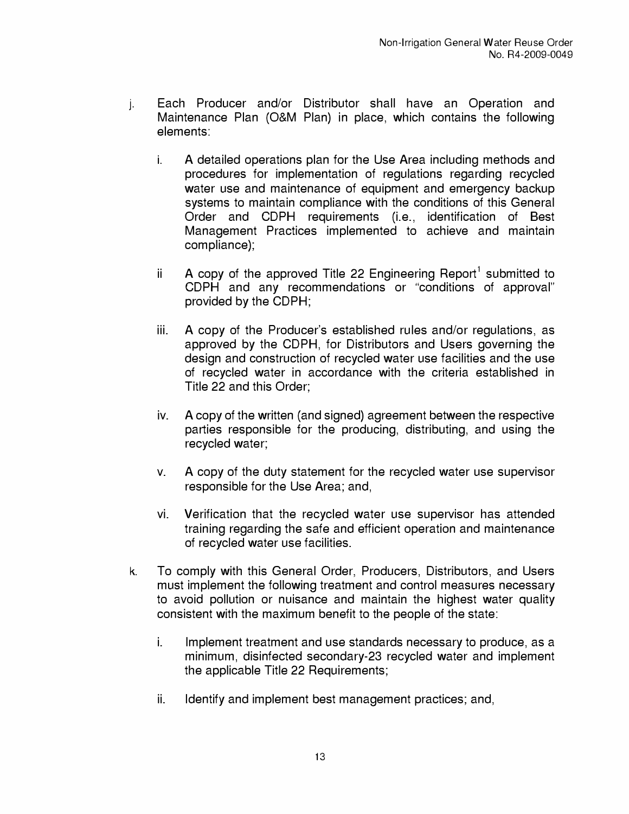- j. Each Producer and/or Distributor shall have an Operation and Maintenance Plan (O&M Plan) in place, which contains the following elements:
	- i. A detailed operations plan for the Use Area including methods and procedures for implementation of regulations regarding recycled water use and maintenance of equipment and emergency backup systems to maintain compliance with the conditions of this General Order and CDPH requirements (i.e., identification of Best Management Practices implemented to achieve and maintain compliance);
	- ii A copy of the approved Title 22 Engineering Report<sup>1</sup> submitted to CDPH and any recommendations or "conditions of approval" provided by the CDPH;
	- iii. A copy of the Producer's established rules and/or regulations, as approved by the CDPH, for Distributors and Users governing the design and construction of recycled water use facilities and the use of recycled water in accordance with the criteria established in Title 22 and this Order;
	- iv. A copy of the written (and signed) agreement between the respective parties responsible for the producing, distributing, and using the recycled water;
	- v. A copy of the duty statement for the recycled water use supervisor responsible for the Use Area; and,
	- vi. Verification that the recycled water use supervisor has attended training regarding the safe and efficient operation and maintenance of recycled water use facilities.
- k. To comply with this General Order, Producers, Distributors, and Users must implement the following treatment and control measures necessary to avoid pollution or nuisance and maintain the highest water quality consistent with the maximum benefit to the people of the state:
	- i. Implement treatment and use standards necessary to produce, as a minimum, disinfected secondary-23 recycled water and implement the applicable Title 22 Requirements;
	- ii. Identify and implement best management practices; and,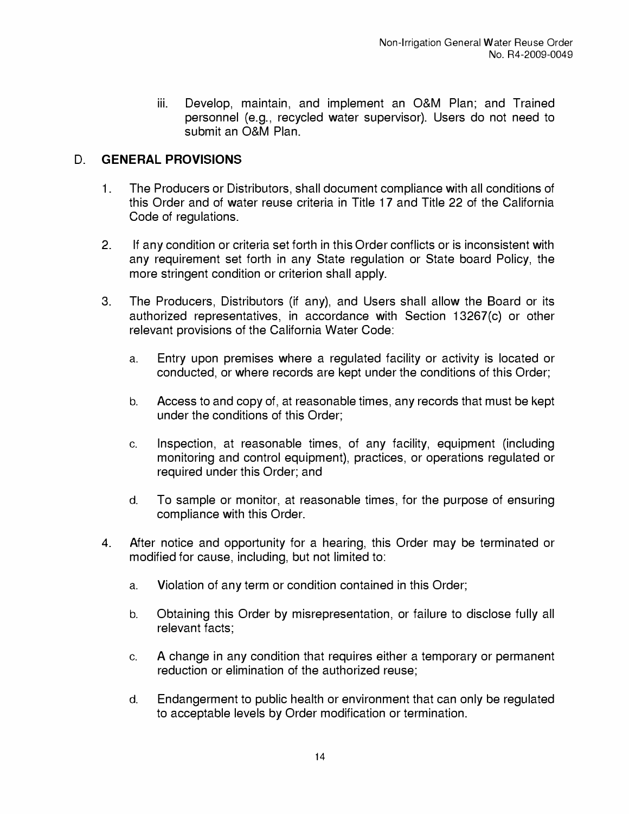iii. Develop, maintain, and implement an O&M Plan; and Trained personnel (e.g., recycled water supervisor). Users do not need to submit an O&M Plan.

## **D. GENERAL PROVISIONS**

- 1. The Producers or Distributors, shall document compliance with all conditions of this Order and of water reuse criteria in Title 17 and Title 22 of the California Code of regulations.
- 2. If any condition or criteria set forth in this Order conflicts or is inconsistent with any requirement set forth in any State regulation or State board Policy, the more stringent condition or criterion shall apply.
- 3. The Producers, Distributors (if any), and Users shall allow the Board or its authorized representatives, in accordance with Section 13267(c) or other relevant provisions of the California Water Code:
	- a. Entry upon premises where a regulated facility or activity is located or conducted, or where records are kept under the conditions of this Order;
	- b. Access to and copy of, at reasonable times, any records that must be kept under the conditions of this Order;
	- c. Inspection, at reasonable times, of any facility, equipment (including monitoring and control equipment), practices, or operations regulated or required under this Order; and
	- d. To sample or monitor, at reasonable times, for the purpose of ensuring compliance with this Order.
- 4. After notice and opportunity for a hearing, this Order may be terminated or modified for cause, including, but not limited to:
	- a. Violation of any term or condition contained in this Order;
	- b. Obtaining this Order by misrepresentation, or failure to disclose fully all relevant facts;
	- c. A change in any condition that requires either a temporary or permanent reduction or elimination of the authorized reuse;
	- d. Endangerment to public health or environment that can only be regulated to acceptable levels by Order modification or termination.